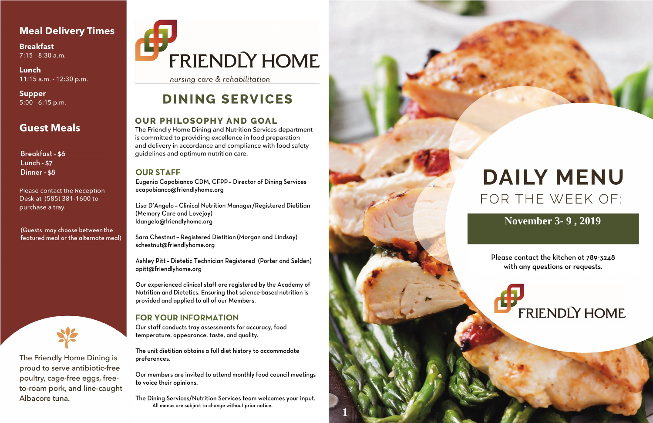## **Meal Delivery Times**

**Breakfast** 7:15 - 8:30 a.m.

Lunch 11:15 a.m. - 12:30 p.m.

**Supper**  $5:00 - 6:15$  p.m.

## **Guest Meals**

**Breakfast-\$6 Lunch - \$7** Dinner - \$8

**Please contact the Reception** Desk at (585) 381-1600 to purchase a tray.

(Guests may choose between the featured meal or the alternate meal)



The Friendly Home Dining is proud to serve antibiotic-free poultry, cage-free eggs, freeto-roam pork, and line-caught Albacore tuna.

# **FRIENDLY HOME**

nursing care & rehabilitation

## **DINING SERVICES**

## **OUR PHILOSOPHY AND GOAL**

The Friendly Home Dining and Nutrition Services department is committed to providing excellence in food preparation and delivery in accordance and compliance with food safety guidelines and optimum nutrition care.

## **OUR STAFF**

Eugenia Capobianco CDM, CFPP - Director of Dining Services ecapobianco@friendlyhome.org

Lisa D'Angelo - Clinical Nutrition Manager/Registered Dietitian (Memory Care and Lovejoy) ldangelo@friendlyhome.org

Sara Chestnut - Registered Dietitian (Morgan and Lindsay) schestnut@friendlyhome.org

Ashley Pitt - Dietetic Technician Registered (Porter and Selden) apitt@friendlyhome.org

Our experienced clinical staff are registered by the Academy of Nutrition and Dietetics. Ensuring that science-based nutrition is provided and applied to all of our Members.

## **FOR YOUR INFORMATION**

Our staff conducts tray assessments for accuracy, food temperature, appearance, taste, and quality.

The unit dietitian obtains a full diet history to accommodate preferences.

Our members are invited to attend monthly food council meetings to voice their opinions.

The Dining Services/Nutrition Services team welcomes your input. All menus are subject to change without prior notice.



## **DAILY MENU** FOR THE WEEK OF:

## **November 3-9, 2019**

Please contact the kitchen at 789-3248 with any questions or requests.

## **FRIENDLY HOME**